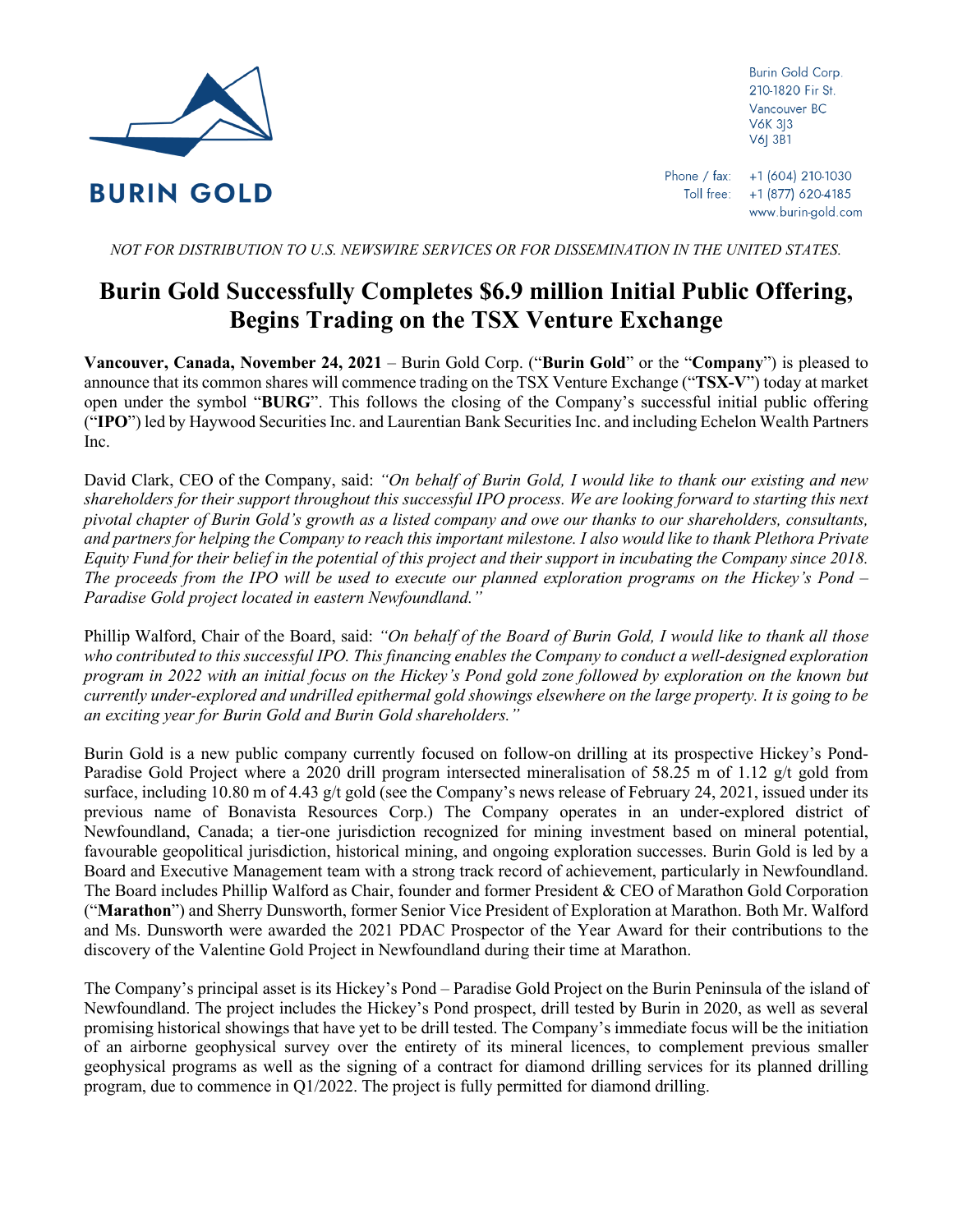

Burin Gold Corp. 210-1820 Fir St. Vancouver BC **V6K 3I3** V6| 3B1

*NOT FOR DISTRIBUTION TO U.S. NEWSWIRE SERVICES OR FOR DISSEMINATION IN THE UNITED STATES.*

# **Burin Gold Successfully Completes \$6.9 million Initial Public Offering, Begins Trading on the TSX Venture Exchange**

**Vancouver, Canada, November 24, 2021** – Burin Gold Corp. ("**Burin Gold**" or the "**Company**") is pleased to announce that its common shares will commence trading on the TSX Venture Exchange ("**TSX-V**") today at market open under the symbol "**BURG**". This follows the closing of the Company's successful initial public offering ("**IPO**") led by Haywood Securities Inc. and Laurentian Bank Securities Inc. and including Echelon Wealth Partners Inc.

David Clark, CEO of the Company, said: *"On behalf of Burin Gold, I would like to thank our existing and new shareholders for their support throughout this successful IPO process. We are looking forward to starting this next pivotal chapter of Burin Gold's growth as a listed company and owe our thanks to our shareholders, consultants, and partners for helping the Company to reach this important milestone. I also would like to thank Plethora Private Equity Fund for their belief in the potential of this project and their support in incubating the Company since 2018. The proceeds from the IPO will be used to execute our planned exploration programs on the Hickey's Pond – Paradise Gold project located in eastern Newfoundland."*

Phillip Walford, Chair of the Board, said: *"On behalf of the Board of Burin Gold, I would like to thank all those*  who contributed to this successful IPO. This financing enables the Company to conduct a well-designed exploration *program in 2022 with an initial focus on the Hickey's Pond gold zone followed by exploration on the known but currently under-explored and undrilled epithermal gold showings elsewhere on the large property. It is going to be an exciting year for Burin Gold and Burin Gold shareholders."*

Burin Gold is a new public company currently focused on follow-on drilling at its prospective Hickey's Pond-Paradise Gold Project where a 2020 drill program intersected mineralisation of 58.25 m of 1.12 g/t gold from surface, including 10.80 m of 4.43 g/t gold (see the Company's news release of February 24, 2021, issued under its previous name of Bonavista Resources Corp.) The Company operates in an under-explored district of Newfoundland, Canada; a tier-one jurisdiction recognized for mining investment based on mineral potential, favourable geopolitical jurisdiction, historical mining, and ongoing exploration successes. Burin Gold is led by a Board and Executive Management team with a strong track record of achievement, particularly in Newfoundland. The Board includes Phillip Walford as Chair, founder and former President & CEO of Marathon Gold Corporation ("**Marathon**") and Sherry Dunsworth, former Senior Vice President of Exploration at Marathon. Both Mr. Walford and Ms. Dunsworth were awarded the 2021 PDAC Prospector of the Year Award for their contributions to the discovery of the Valentine Gold Project in Newfoundland during their time at Marathon.

The Company's principal asset is its Hickey's Pond – Paradise Gold Project on the Burin Peninsula of the island of Newfoundland. The project includes the Hickey's Pond prospect, drill tested by Burin in 2020, as well as several promising historical showings that have yet to be drill tested. The Company's immediate focus will be the initiation of an airborne geophysical survey over the entirety of its mineral licences, to complement previous smaller geophysical programs as well as the signing of a contract for diamond drilling services for its planned drilling program, due to commence in Q1/2022. The project is fully permitted for diamond drilling.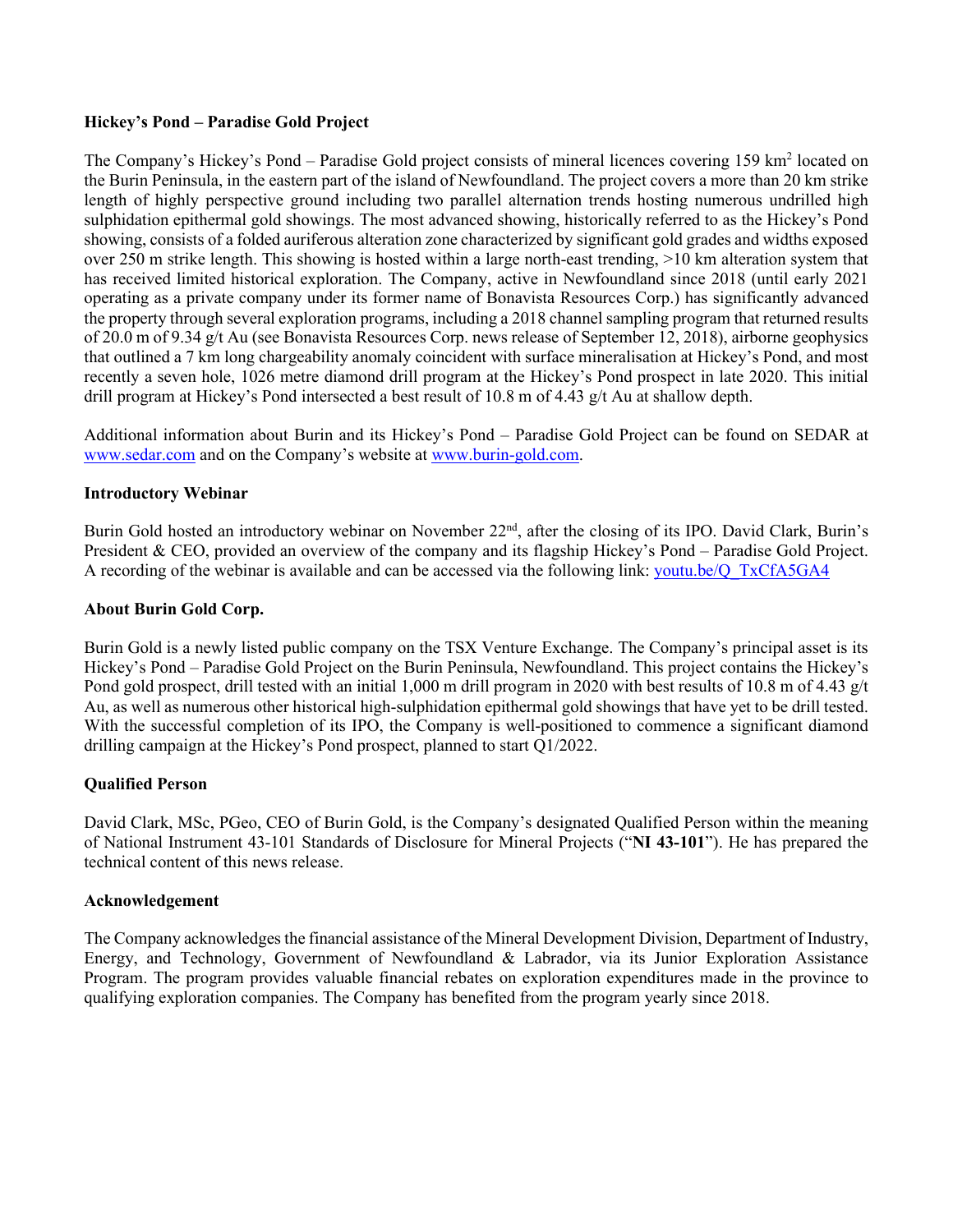## **Hickey's Pond – Paradise Gold Project**

The Company's Hickey's Pond – Paradise Gold project consists of mineral licences covering 159 km<sup>2</sup> located on the Burin Peninsula, in the eastern part of the island of Newfoundland. The project covers a more than 20 km strike length of highly perspective ground including two parallel alternation trends hosting numerous undrilled high sulphidation epithermal gold showings. The most advanced showing, historically referred to as the Hickey's Pond showing, consists of a folded auriferous alteration zone characterized by significant gold grades and widths exposed over 250 m strike length. This showing is hosted within a large north-east trending, >10 km alteration system that has received limited historical exploration. The Company, active in Newfoundland since 2018 (until early 2021 operating as a private company under its former name of Bonavista Resources Corp.) has significantly advanced the property through several exploration programs, including a 2018 channel sampling program that returned results of 20.0 m of 9.34 g/t Au (see Bonavista Resources Corp. news release of September 12, 2018), airborne geophysics that outlined a 7 km long chargeability anomaly coincident with surface mineralisation at Hickey's Pond, and most recently a seven hole, 1026 metre diamond drill program at the Hickey's Pond prospect in late 2020. This initial drill program at Hickey's Pond intersected a best result of 10.8 m of 4.43 g/t Au at shallow depth.

Additional information about Burin and its Hickey's Pond – Paradise Gold Project can be found on SEDAR at [www.sedar.com](https://www.sedar.com/) and on the Company's website at [www.burin-gold.com.](https://www.burin-gold.com/)

## **Introductory Webinar**

Burin Gold hosted an introductory webinar on November 22<sup>nd</sup>, after the closing of its IPO. David Clark, Burin's President & CEO, provided an overview of the company and its flagship Hickey's Pond – Paradise Gold Project. A recording of the webinar is available and can be accessed via the following link: [youtu.be/Q\\_TxCfA5GA4](https://youtu.be/Q_TxCfA5GA4)

## **About Burin Gold Corp.**

Burin Gold is a newly listed public company on the TSX Venture Exchange. The Company's principal asset is its Hickey's Pond – Paradise Gold Project on the Burin Peninsula, Newfoundland. This project contains the Hickey's Pond gold prospect, drill tested with an initial 1,000 m drill program in 2020 with best results of 10.8 m of 4.43 g/t Au, as well as numerous other historical high-sulphidation epithermal gold showings that have yet to be drill tested. With the successful completion of its IPO, the Company is well-positioned to commence a significant diamond drilling campaign at the Hickey's Pond prospect, planned to start Q1/2022.

## **Qualified Person**

David Clark, MSc, PGeo, CEO of Burin Gold, is the Company's designated Qualified Person within the meaning of National Instrument 43-101 Standards of Disclosure for Mineral Projects ("**NI 43-101**"). He has prepared the technical content of this news release.

### **Acknowledgement**

The Company acknowledges the financial assistance of the Mineral Development Division, Department of Industry, Energy, and Technology, Government of Newfoundland & Labrador, via its Junior Exploration Assistance Program. The program provides valuable financial rebates on exploration expenditures made in the province to qualifying exploration companies. The Company has benefited from the program yearly since 2018.